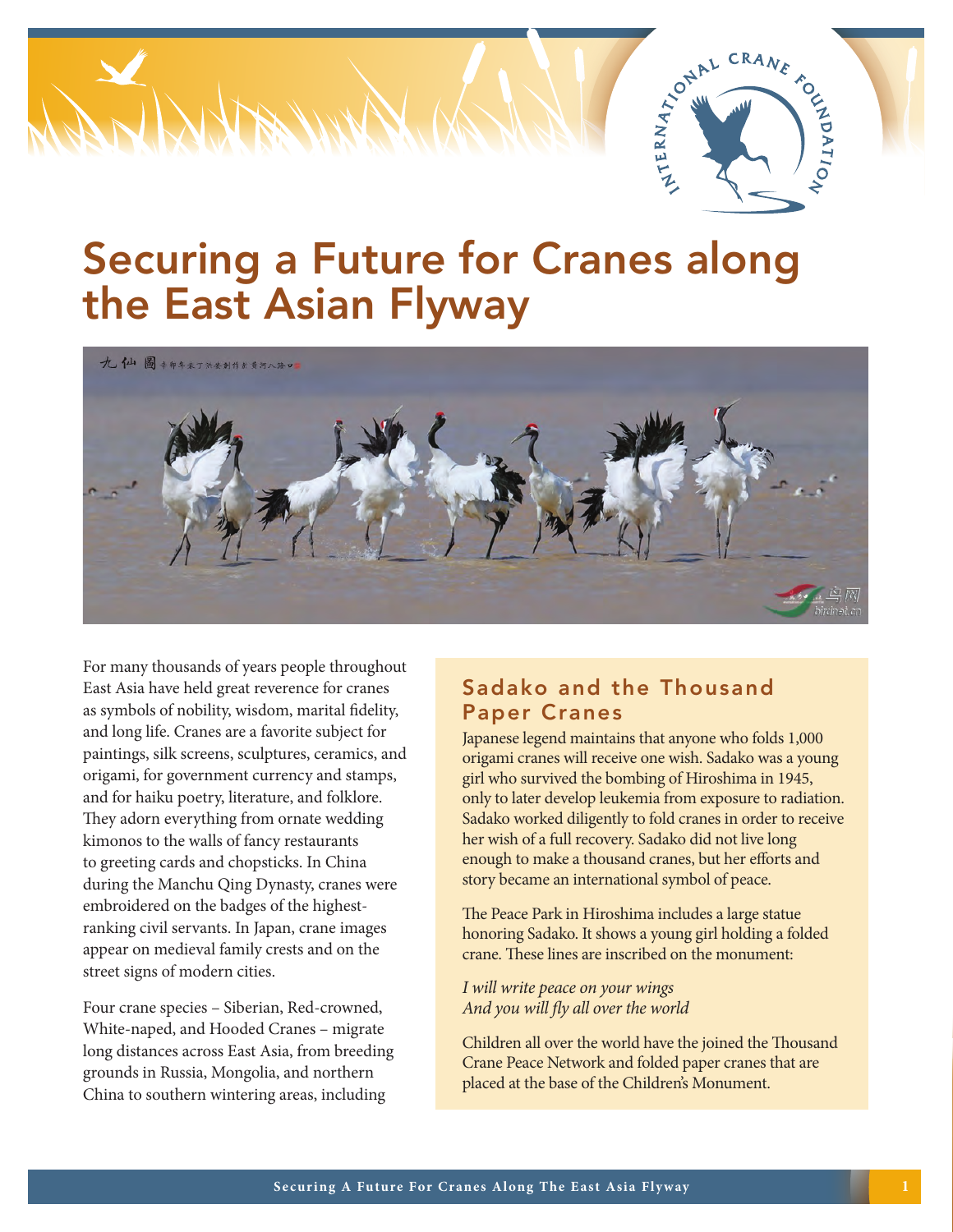

# Securing a Future for Cranes along the East Asian Flyway



For many thousands of years people throughout East Asia have held great reverence for cranes as symbols of nobility, wisdom, marital fidelity, and long life. Cranes are a favorite subject for paintings, silk screens, sculptures, ceramics, and origami, for government currency and stamps, and for haiku poetry, literature, and folklore. They adorn everything from ornate wedding kimonos to the walls of fancy restaurants to greeting cards and chopsticks. In China during the Manchu Qing Dynasty, cranes were embroidered on the badges of the highestranking civil servants. In Japan, crane images appear on medieval family crests and on the street signs of modern cities.

Four crane species – Siberian, Red-crowned, White-naped, and Hooded Cranes – migrate long distances across East Asia, from breeding grounds in Russia, Mongolia, and northern China to southern wintering areas, including

## Sadako and the Thousand Paper Cranes

Japanese legend maintains that anyone who folds 1,000 origami cranes will receive one wish. Sadako was a young girl who survived the bombing of Hiroshima in 1945, only to later develop leukemia from exposure to radiation. Sadako worked diligently to fold cranes in order to receive her wish of a full recovery. Sadako did not live long enough to make a thousand cranes, but her efforts and story became an international symbol of peace.

The Peace Park in Hiroshima includes a large statue honoring Sadako. It shows a young girl holding a folded crane. These lines are inscribed on the monument:

*I will write peace on your wings And you will fly all over the world*

Children all over the world have the joined the Thousand Crane Peace Network and folded paper cranes that are placed at the base of the Children's Monument.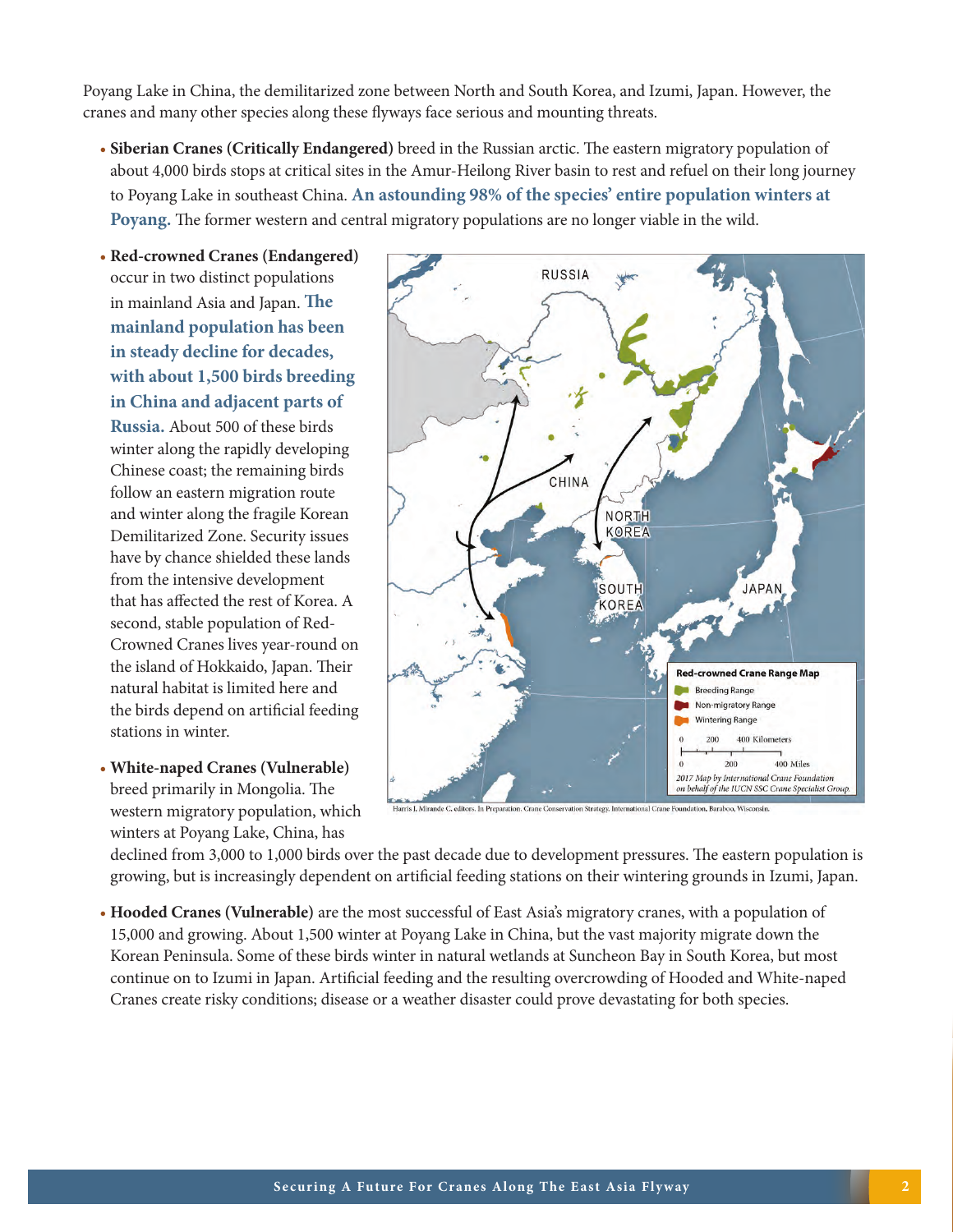Poyang Lake in China, the demilitarized zone between North and South Korea, and Izumi, Japan. However, the cranes and many other species along these flyways face serious and mounting threats.

• **Siberian Cranes (Critically Endangered)** breed in the Russian arctic. The eastern migratory population of about 4,000 birds stops at critical sites in the Amur-Heilong River basin to rest and refuel on their long journey to Poyang Lake in southeast China. **An astounding 98% of the species' entire population winters at Poyang.** The former western and central migratory populations are no longer viable in the wild.

• **Red-crowned Cranes (Endangered)** occur in two distinct populations in mainland Asia and Japan. **The mainland population has been in steady decline for decades, with about 1,500 birds breeding in China and adjacent parts of Russia.** About 500 of these birds winter along the rapidly developing Chinese coast; the remaining birds follow an eastern migration route and winter along the fragile Korean Demilitarized Zone. Security issues have by chance shielded these lands from the intensive development that has affected the rest of Korea. A second, stable population of Red-Crowned Cranes lives year-round on the island of Hokkaido, Japan. Their natural habitat is limited here and the birds depend on artificial feeding stations in winter.

• **White-naped Cranes (Vulnerable)** breed primarily in Mongolia. The western migratory population, which winters at Poyang Lake, China, has



declined from 3,000 to 1,000 birds over the past decade due to development pressures. The eastern population is growing, but is increasingly dependent on artificial feeding stations on their wintering grounds in Izumi, Japan.

• **Hooded Cranes (Vulnerable)** are the most successful of East Asia's migratory cranes, with a population of 15,000 and growing. About 1,500 winter at Poyang Lake in China, but the vast majority migrate down the Korean Peninsula. Some of these birds winter in natural wetlands at Suncheon Bay in South Korea, but most continue on to Izumi in Japan. Artificial feeding and the resulting overcrowding of Hooded and White-naped Cranes create risky conditions; disease or a weather disaster could prove devastating for both species.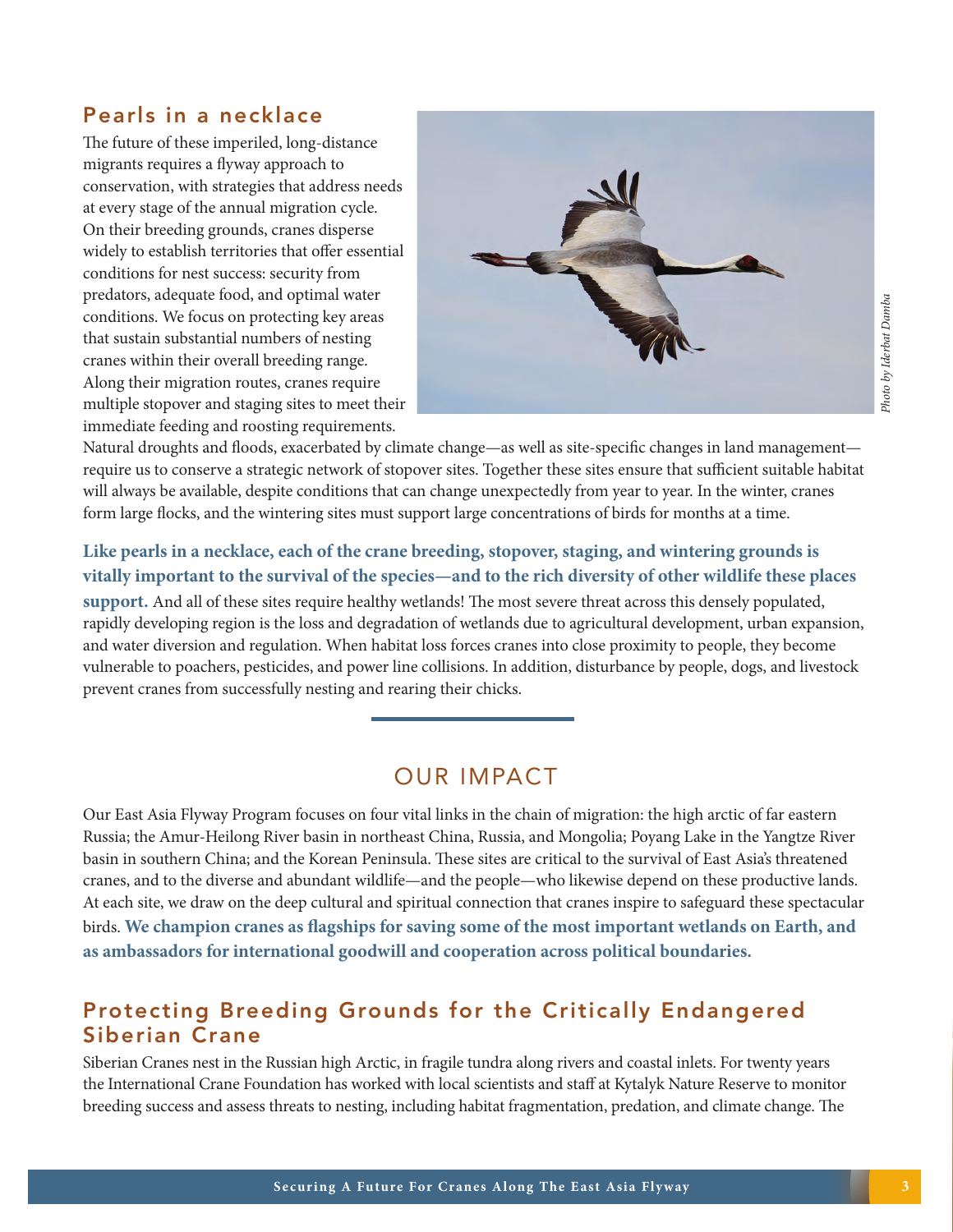#### Pearls in a necklace

The future of these imperiled, long-distance migrants requires a flyway approach to conservation, with strategies that address needs at every stage of the annual migration cycle. On their breeding grounds, cranes disperse widely to establish territories that offer essential conditions for nest success: security from predators, adequate food, and optimal water conditions. We focus on protecting key areas that sustain substantial numbers of nesting cranes within their overall breeding range. Along their migration routes, cranes require multiple stopover and staging sites to meet their immediate feeding and roosting requirements.



Natural droughts and floods, exacerbated by climate change—as well as site-specific changes in land management require us to conserve a strategic network of stopover sites. Together these sites ensure that sufficient suitable habitat will always be available, despite conditions that can change unexpectedly from year to year. In the winter, cranes form large flocks, and the wintering sites must support large concentrations of birds for months at a time.

#### **Like pearls in a necklace, each of the crane breeding, stopover, staging, and wintering grounds is vitally important to the survival of the species—and to the rich diversity of other wildlife these places**

**support.** And all of these sites require healthy wetlands! The most severe threat across this densely populated, rapidly developing region is the loss and degradation of wetlands due to agricultural development, urban expansion, and water diversion and regulation. When habitat loss forces cranes into close proximity to people, they become vulnerable to poachers, pesticides, and power line collisions. In addition, disturbance by people, dogs, and livestock prevent cranes from successfully nesting and rearing their chicks.

## OUR IMPACT

Our East Asia Flyway Program focuses on four vital links in the chain of migration: the high arctic of far eastern Russia; the Amur-Heilong River basin in northeast China, Russia, and Mongolia; Poyang Lake in the Yangtze River basin in southern China; and the Korean Peninsula. These sites are critical to the survival of East Asia's threatened cranes, and to the diverse and abundant wildlife—and the people—who likewise depend on these productive lands. At each site, we draw on the deep cultural and spiritual connection that cranes inspire to safeguard these spectacular birds. **We champion cranes as flagships for saving some of the most important wetlands on Earth, and as ambassadors for international goodwill and cooperation across political boundaries.**

## Protecting Breeding Grounds for the Critically Endangered Siberian Crane

Siberian Cranes nest in the Russian high Arctic, in fragile tundra along rivers and coastal inlets. For twenty years the International Crane Foundation has worked with local scientists and staff at Kytalyk Nature Reserve to monitor breeding success and assess threats to nesting, including habitat fragmentation, predation, and climate change. The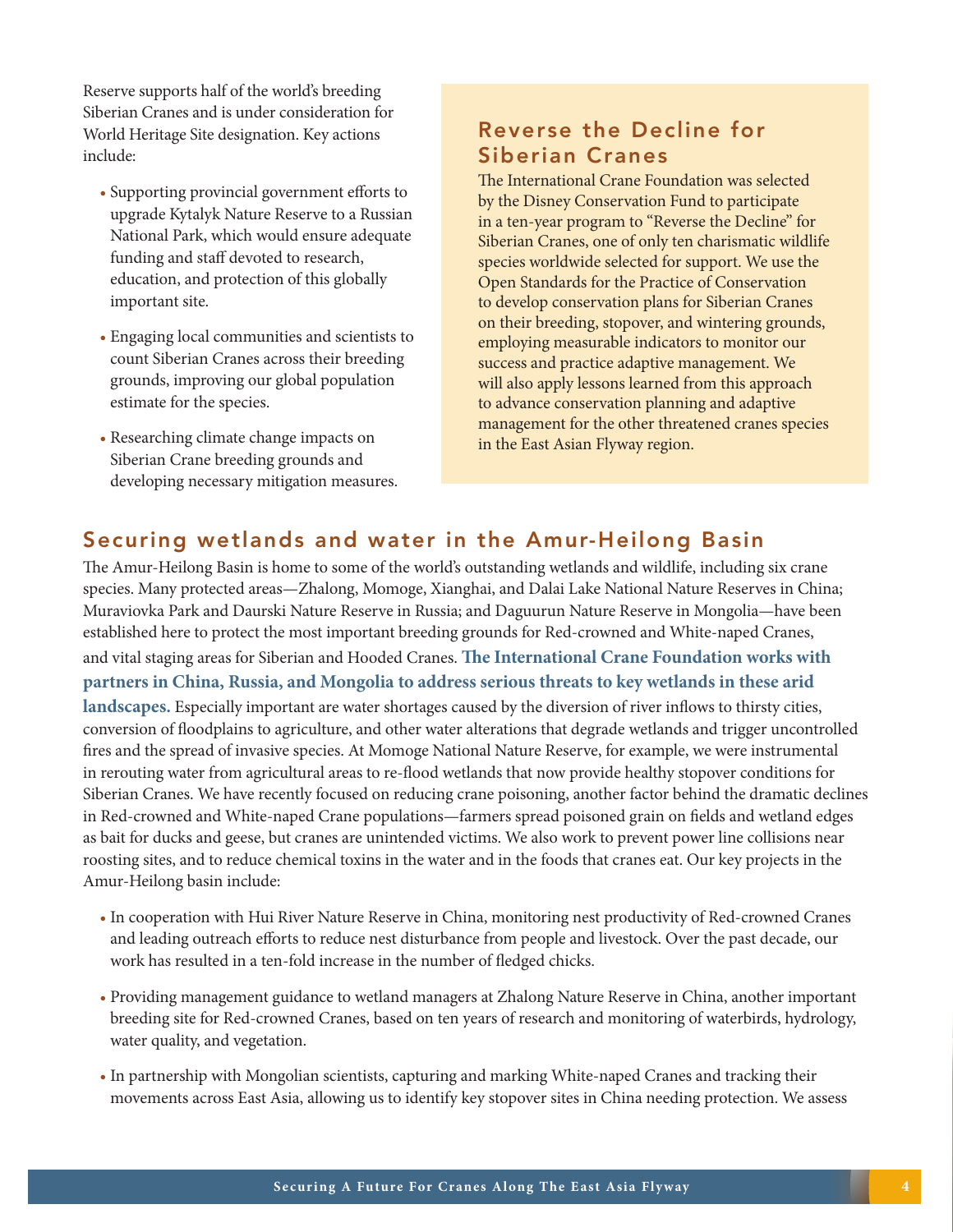Reserve supports half of the world's breeding Siberian Cranes and is under consideration for World Heritage Site designation. Key actions include:

- Supporting provincial government efforts to upgrade Kytalyk Nature Reserve to a Russian National Park, which would ensure adequate funding and staff devoted to research, education, and protection of this globally important site.
- Engaging local communities and scientists to count Siberian Cranes across their breeding grounds, improving our global population estimate for the species.
- Researching climate change impacts on Siberian Crane breeding grounds and developing necessary mitigation measures.

## Reverse the Decline for Siberian Cranes

The International Crane Foundation was selected by the Disney Conservation Fund to participate in a ten-year program to "Reverse the Decline" for Siberian Cranes, one of only ten charismatic wildlife species worldwide selected for support. We use the Open Standards for the Practice of Conservation to develop conservation plans for Siberian Cranes on their breeding, stopover, and wintering grounds, employing measurable indicators to monitor our success and practice adaptive management. We will also apply lessons learned from this approach to advance conservation planning and adaptive management for the other threatened cranes species in the East Asian Flyway region.

#### Securing wetlands and water in the Amur-Heilong Basin

The Amur-Heilong Basin is home to some of the world's outstanding wetlands and wildlife, including six crane species. Many protected areas—Zhalong, Momoge, Xianghai, and Dalai Lake National Nature Reserves in China; Muraviovka Park and Daurski Nature Reserve in Russia; and Daguurun Nature Reserve in Mongolia—have been established here to protect the most important breeding grounds for Red-crowned and White-naped Cranes, and vital staging areas for Siberian and Hooded Cranes. **The International Crane Foundation works with partners in China, Russia, and Mongolia to address serious threats to key wetlands in these arid landscapes.** Especially important are water shortages caused by the diversion of river inflows to thirsty cities, conversion of floodplains to agriculture, and other water alterations that degrade wetlands and trigger uncontrolled fires and the spread of invasive species. At Momoge National Nature Reserve, for example, we were instrumental in rerouting water from agricultural areas to re-flood wetlands that now provide healthy stopover conditions for Siberian Cranes. We have recently focused on reducing crane poisoning, another factor behind the dramatic declines in Red-crowned and White-naped Crane populations—farmers spread poisoned grain on fields and wetland edges as bait for ducks and geese, but cranes are unintended victims. We also work to prevent power line collisions near roosting sites, and to reduce chemical toxins in the water and in the foods that cranes eat. Our key projects in the Amur-Heilong basin include:

- In cooperation with Hui River Nature Reserve in China, monitoring nest productivity of Red-crowned Cranes and leading outreach efforts to reduce nest disturbance from people and livestock. Over the past decade, our work has resulted in a ten-fold increase in the number of fledged chicks.
- Providing management guidance to wetland managers at Zhalong Nature Reserve in China, another important breeding site for Red-crowned Cranes, based on ten years of research and monitoring of waterbirds, hydrology, water quality, and vegetation.
- In partnership with Mongolian scientists, capturing and marking White-naped Cranes and tracking their movements across East Asia, allowing us to identify key stopover sites in China needing protection. We assess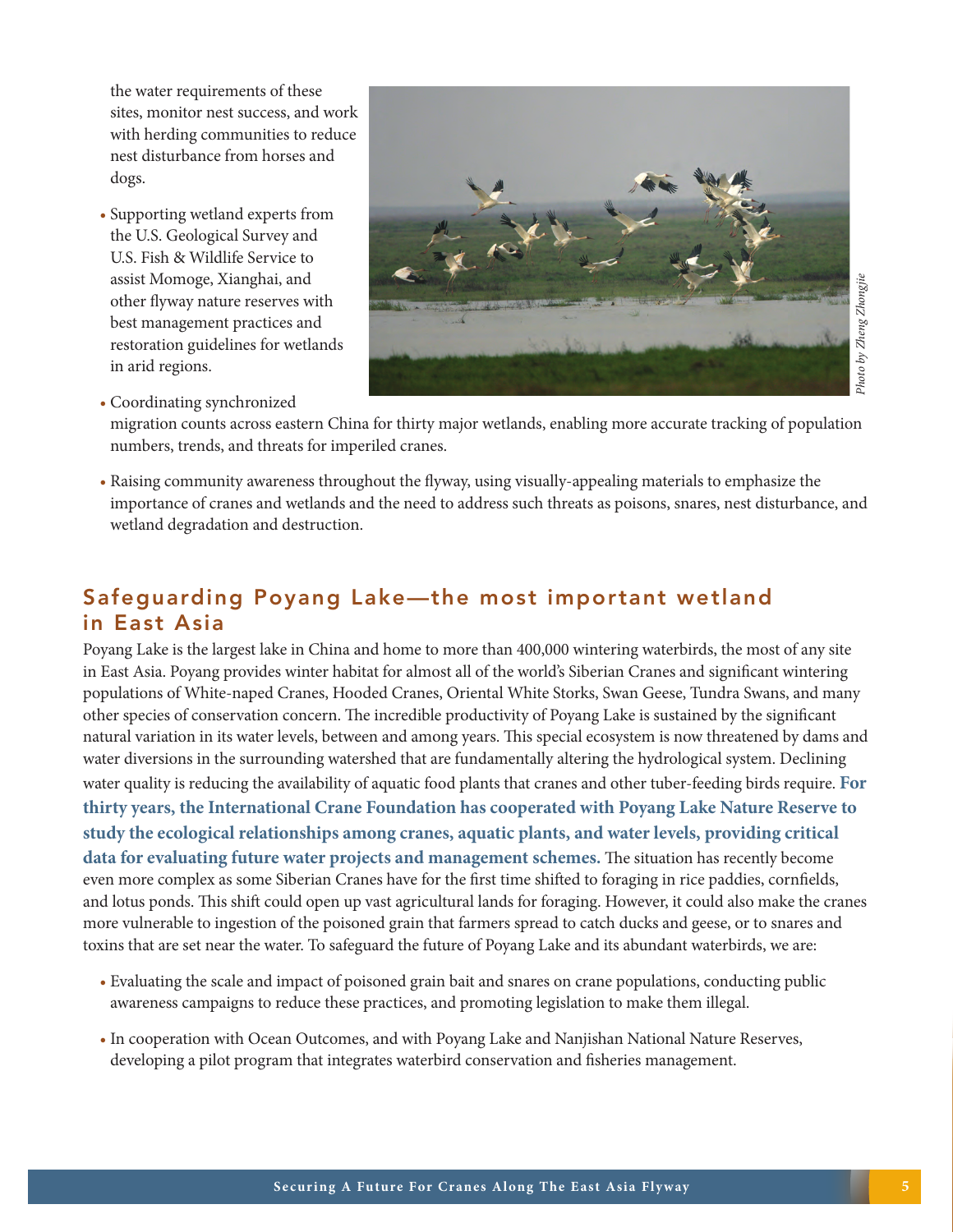the water requirements of these sites, monitor nest success, and work with herding communities to reduce nest disturbance from horses and dogs.

- Supporting wetland experts from the U.S. Geological Survey and U.S. Fish & Wildlife Service to assist Momoge, Xianghai, and other flyway nature reserves with best management practices and restoration guidelines for wetlands in arid regions.
- - Photo by Zheng Zhongjie *Photo by Zheng Zhongjie*

• Coordinating synchronized

migration counts across eastern China for thirty major wetlands, enabling more accurate tracking of population numbers, trends, and threats for imperiled cranes.

• Raising community awareness throughout the flyway, using visually-appealing materials to emphasize the importance of cranes and wetlands and the need to address such threats as poisons, snares, nest disturbance, and wetland degradation and destruction.

## Safeguarding Poyang Lake—the most important wetland in East Asia

Poyang Lake is the largest lake in China and home to more than 400,000 wintering waterbirds, the most of any site in East Asia. Poyang provides winter habitat for almost all of the world's Siberian Cranes and significant wintering populations of White-naped Cranes, Hooded Cranes, Oriental White Storks, Swan Geese, Tundra Swans, and many other species of conservation concern. The incredible productivity of Poyang Lake is sustained by the significant natural variation in its water levels, between and among years. This special ecosystem is now threatened by dams and water diversions in the surrounding watershed that are fundamentally altering the hydrological system. Declining water quality is reducing the availability of aquatic food plants that cranes and other tuber-feeding birds require. **For thirty years, the International Crane Foundation has cooperated with Poyang Lake Nature Reserve to study the ecological relationships among cranes, aquatic plants, and water levels, providing critical data for evaluating future water projects and management schemes.** The situation has recently become even more complex as some Siberian Cranes have for the first time shifted to foraging in rice paddies, cornfields, and lotus ponds. This shift could open up vast agricultural lands for foraging. However, it could also make the cranes more vulnerable to ingestion of the poisoned grain that farmers spread to catch ducks and geese, or to snares and toxins that are set near the water. To safeguard the future of Poyang Lake and its abundant waterbirds, we are:

- Evaluating the scale and impact of poisoned grain bait and snares on crane populations, conducting public awareness campaigns to reduce these practices, and promoting legislation to make them illegal.
- In cooperation with Ocean Outcomes, and with Poyang Lake and Nanjishan National Nature Reserves, developing a pilot program that integrates waterbird conservation and fisheries management.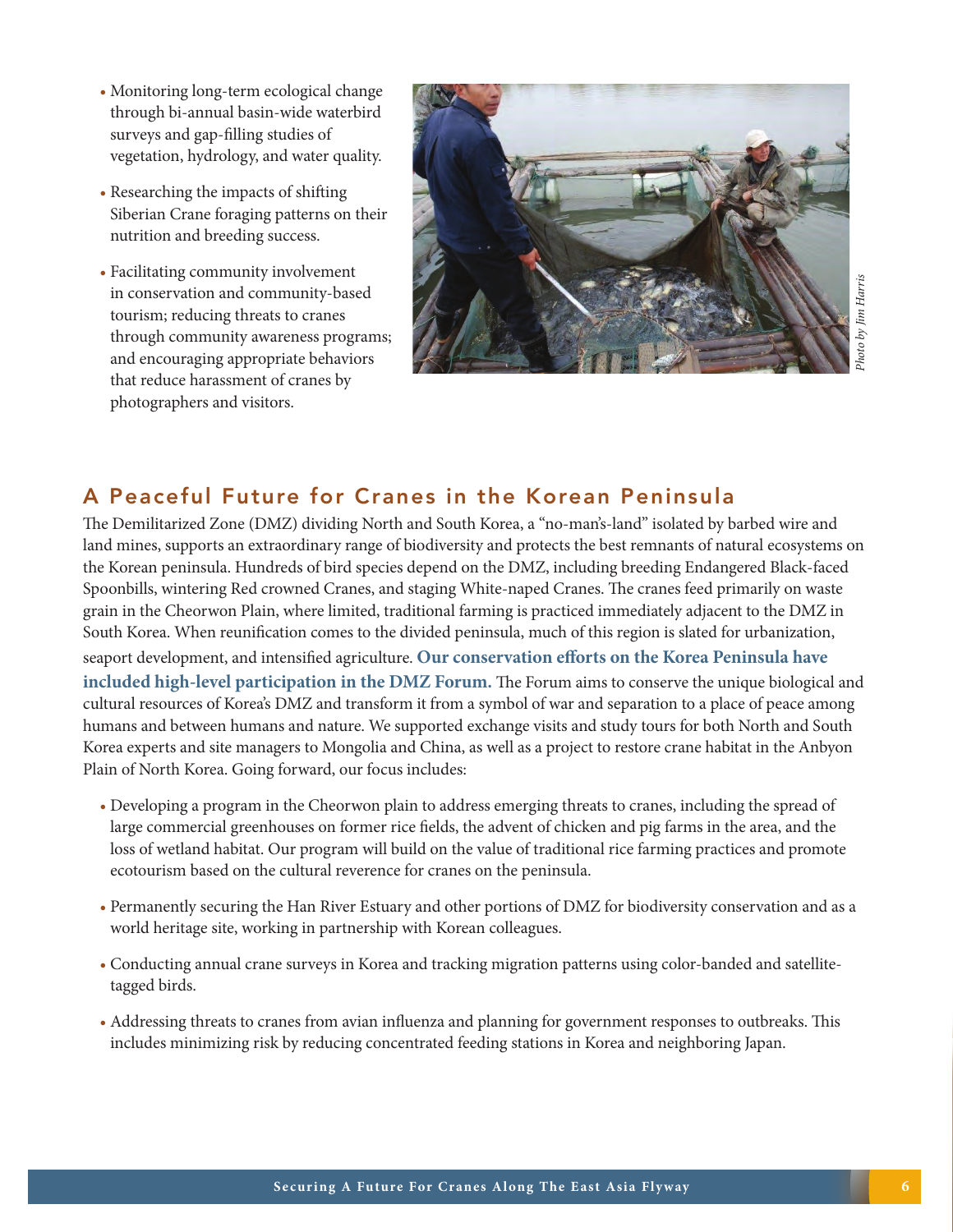- Monitoring long-term ecological change through bi-annual basin-wide waterbird surveys and gap-filling studies of vegetation, hydrology, and water quality.
- Researching the impacts of shifting Siberian Crane foraging patterns on their nutrition and breeding success.
- Facilitating community involvement in conservation and community-based tourism; reducing threats to cranes through community awareness programs; and encouraging appropriate behaviors that reduce harassment of cranes by photographers and visitors.



#### A Peaceful Future for Cranes in the Korean Peninsula

The Demilitarized Zone (DMZ) dividing North and South Korea, a "no-man's-land" isolated by barbed wire and land mines, supports an extraordinary range of biodiversity and protects the best remnants of natural ecosystems on the Korean peninsula. Hundreds of bird species depend on the DMZ, including breeding Endangered Black-faced Spoonbills, wintering Red crowned Cranes, and staging White-naped Cranes. The cranes feed primarily on waste grain in the Cheorwon Plain, where limited, traditional farming is practiced immediately adjacent to the DMZ in South Korea. When reunification comes to the divided peninsula, much of this region is slated for urbanization, seaport development, and intensified agriculture. **Our conservation efforts on the Korea Peninsula have included high-level participation in the DMZ Forum.** The Forum aims to conserve the unique biological and cultural resources of Korea's DMZ and transform it from a symbol of war and separation to a place of peace among humans and between humans and nature. We supported exchange visits and study tours for both North and South Korea experts and site managers to Mongolia and China, as well as a project to restore crane habitat in the Anbyon Plain of North Korea. Going forward, our focus includes:

- Developing a program in the Cheorwon plain to address emerging threats to cranes, including the spread of large commercial greenhouses on former rice fields, the advent of chicken and pig farms in the area, and the loss of wetland habitat. Our program will build on the value of traditional rice farming practices and promote ecotourism based on the cultural reverence for cranes on the peninsula.
- Permanently securing the Han River Estuary and other portions of DMZ for biodiversity conservation and as a world heritage site, working in partnership with Korean colleagues.
- Conducting annual crane surveys in Korea and tracking migration patterns using color-banded and satellitetagged birds.
- Addressing threats to cranes from avian influenza and planning for government responses to outbreaks. This includes minimizing risk by reducing concentrated feeding stations in Korea and neighboring Japan.